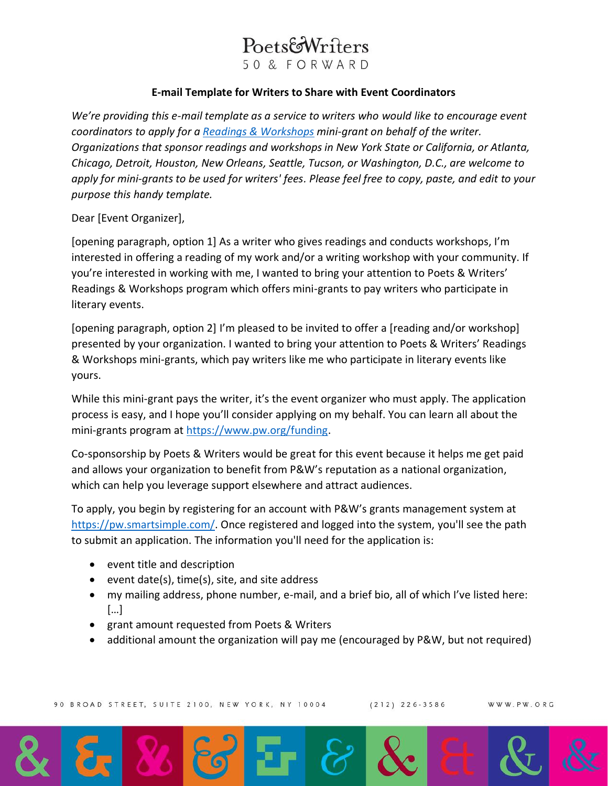## PoetsfoWriters

50 & FORWARD

## **E-mail Template for Writers to Share with Event Coordinators**

*We're providing this e-mail template as a service to writers who would like to encourage event coordinators to apply for a [Readings & Workshops](https://www.pw.org/content/about_readings_workshops) mini-grant on behalf of the writer. Organizations that sponsor readings and workshops in New York State or California, or Atlanta, Chicago, Detroit, Houston, New Orleans, Seattle, Tucson, or Washington, D.C., are welcome to apply for mini-grants to be used for writers' fees. Please feel free to copy, paste, and edit to your purpose this handy template.*

Dear [Event Organizer],

[opening paragraph, option 1] As a writer who gives readings and conducts workshops, I'm interested in offering a reading of my work and/or a writing workshop with your community. If you're interested in working with me, I wanted to bring your attention to Poets & Writers' Readings & Workshops program which offers mini-grants to pay writers who participate in literary events.

[opening paragraph, option 2] I'm pleased to be invited to offer a [reading and/or workshop] presented by your organization. I wanted to bring your attention to Poets & Writers' Readings & Workshops mini-grants, which pay writers like me who participate in literary events like yours.

While this mini-grant pays the writer, it's the event organizer who must apply. The application process is easy, and I hope you'll consider applying on my behalf. You can learn all about the mini-grants program at [https://www.pw.org/funding.](https://www.pw.org/funding/funding_readingsworkshops)

Co-sponsorship by Poets & Writers would be great for this event because it helps me get paid and allows your organization to benefit from P&W's reputation as a national organization, which can help you leverage support elsewhere and attract audiences.

To apply, you begin by registering for an account with P&W's grants management system at [https://pw.smartsimple.com/.](https://pw.smartsimple.com/) Once registered and logged into the system, you'll see the path to submit an application. The information you'll need for the application is:

- event title and description
- event date(s), time(s), site, and site address
- my mailing address, phone number, e-mail, and a brief bio, all of which I've listed here: […]
- grant amount requested from Poets & Writers
- additional amount the organization will pay me (encouraged by P&W, but not required)

 $(212)$  226-3586

WWW.PW.ORG